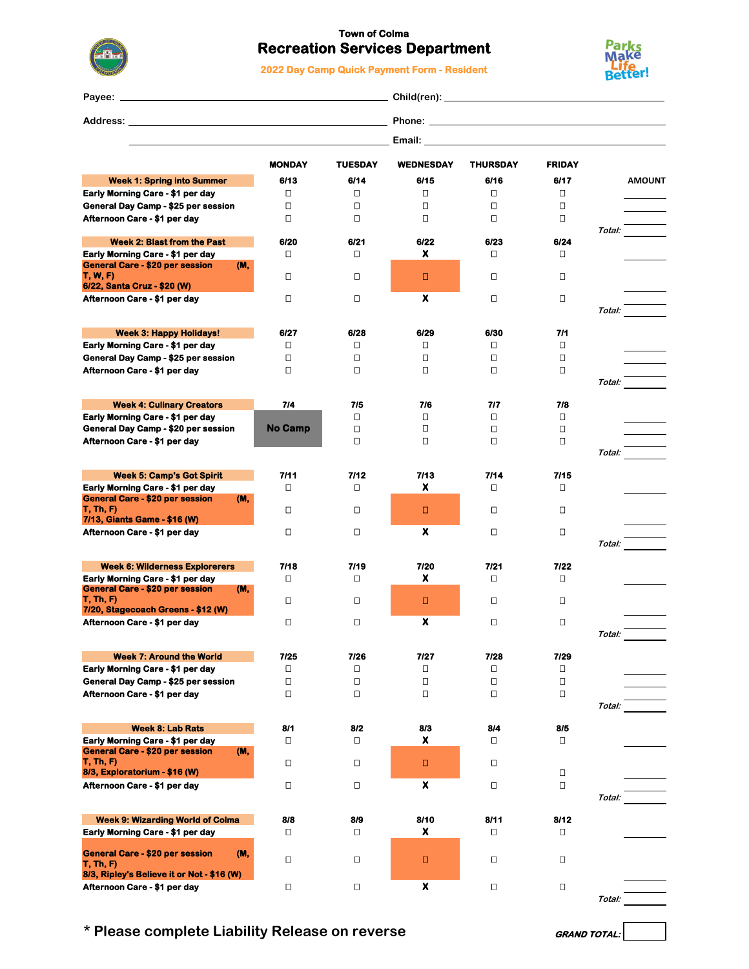

## **Town of Colma Recreation Services Department**

**2022 Day Camp Quick Payment Form - Resident**



| Pavee: _                                                                          |               |                |                  |                                                                                                                                                                                                                                |                |        |               |
|-----------------------------------------------------------------------------------|---------------|----------------|------------------|--------------------------------------------------------------------------------------------------------------------------------------------------------------------------------------------------------------------------------|----------------|--------|---------------|
|                                                                                   |               |                |                  |                                                                                                                                                                                                                                |                |        |               |
|                                                                                   |               |                |                  | Email: Email: All and the state of the state of the state of the state of the state of the state of the state of the state of the state of the state of the state of the state of the state of the state of the state of the s |                |        |               |
|                                                                                   | <b>MONDAY</b> | <b>TUESDAY</b> | <b>WEDNESDAY</b> | <b>THURSDAY</b>                                                                                                                                                                                                                | <b>FRIDAY</b>  |        |               |
| <b>Week 1: Spring into Summer</b>                                                 | 6/13          | 6/14           | 6/15             | 6/16                                                                                                                                                                                                                           | 6/17           |        | <b>AMOUNT</b> |
| Early Morning Care - \$1 per day                                                  | О             | Π              | □                | П                                                                                                                                                                                                                              | $\Box$         |        |               |
| General Day Camp - \$25 per session                                               | $\Box$        | Ω              | $\Box$           | $\Box$                                                                                                                                                                                                                         | $\Box$         |        |               |
| Afternoon Care - \$1 per day                                                      | □             | П              | ◻                | П                                                                                                                                                                                                                              | $\Box$         |        |               |
|                                                                                   |               |                |                  |                                                                                                                                                                                                                                |                | Total: |               |
| <b>Week 2: Blast from the Past</b>                                                | 6/20          | 6/21           | 6/22             | 6/23                                                                                                                                                                                                                           | 6/24           |        |               |
| Early Morning Care - \$1 per day                                                  | О             | 0              | x                | $\Box$                                                                                                                                                                                                                         | $\Box$         |        |               |
| <b>General Care - \$20 per session</b><br>(M,<br><b>T, W, F)</b>                  | О             | 0              | о                | О                                                                                                                                                                                                                              | $\Box$         |        |               |
| 6/22, Santa Cruz - \$20 (W)                                                       |               |                |                  |                                                                                                                                                                                                                                |                |        |               |
| Afternoon Care - \$1 per day                                                      | О             | П              | X                | О                                                                                                                                                                                                                              | $\Box$         |        |               |
|                                                                                   |               |                |                  |                                                                                                                                                                                                                                |                | Total: |               |
|                                                                                   |               |                |                  |                                                                                                                                                                                                                                |                |        |               |
| <b>Week 3: Happy Holidays!</b>                                                    | 6/27          | 6/28           | 6/29             | 6/30                                                                                                                                                                                                                           | 7/1            |        |               |
| Early Morning Care - \$1 per day                                                  | О             | О              | ◻                | ο                                                                                                                                                                                                                              | $\Box$         |        |               |
| General Day Camp - \$25 per session                                               | $\Box$        | О              | □                | $\Box$                                                                                                                                                                                                                         | $\Box$         |        |               |
| Afternoon Care - \$1 per day                                                      | $\Box$        | $\Box$         | $\Box$           | $\Box$                                                                                                                                                                                                                         | $\Box$         |        |               |
|                                                                                   |               |                |                  |                                                                                                                                                                                                                                |                | Total: |               |
| <b>Week 4: Culinary Creators</b>                                                  | 7/4           | 7/5            | 7/6              | 7/7                                                                                                                                                                                                                            | 7/8            |        |               |
| Early Morning Care - \$1 per day                                                  |               | Π              | $\Box$           | П                                                                                                                                                                                                                              | $\Box$         |        |               |
| General Day Camp - \$20 per session                                               | No Camp       | $\Box$         | $\Box$           | $\Box$                                                                                                                                                                                                                         | $\Box$         |        |               |
| Afternoon Care - \$1 per day                                                      |               | $\Box$         | □                | $\Box$                                                                                                                                                                                                                         | $\Box$         |        |               |
|                                                                                   |               |                |                  |                                                                                                                                                                                                                                |                | Total: |               |
|                                                                                   |               |                |                  |                                                                                                                                                                                                                                |                |        |               |
| <b>Week 5: Camp's Got Spirit</b>                                                  | 7/11          | 7/12           | 7/13             | 7/14                                                                                                                                                                                                                           | 7/15           |        |               |
| Early Morning Care - \$1 per day<br><b>General Care - \$20 per session</b><br>(M, | О             | 0              | x                | $\Box$                                                                                                                                                                                                                         | D              |        |               |
| T, Th, F                                                                          | О             | О              | о                | О                                                                                                                                                                                                                              | D              |        |               |
| 7/13, Giants Game - \$16 (W)                                                      |               |                |                  |                                                                                                                                                                                                                                |                |        |               |
| Afternoon Care - \$1 per day                                                      | $\Box$        | о              | X                | О                                                                                                                                                                                                                              | $\Box$         |        |               |
|                                                                                   |               |                |                  |                                                                                                                                                                                                                                |                | Total: |               |
|                                                                                   |               |                |                  |                                                                                                                                                                                                                                |                |        |               |
| <b>Week 6: Wilderness Explorerers</b>                                             | 7/18<br>О     | 7/19<br>0      | 7/20<br>x.       | 7/21<br>О                                                                                                                                                                                                                      | 7/22<br>$\Box$ |        |               |
| Early Morning Care - \$1 per day<br><b>General Care - \$20 per session</b><br>(M, |               |                |                  |                                                                                                                                                                                                                                |                |        |               |
| <b>T, Th, F)</b>                                                                  | О             | 0              | о                | О                                                                                                                                                                                                                              | $\Box$         |        |               |
| 7/20, Stagecoach Greens - \$12 (W)                                                |               |                |                  |                                                                                                                                                                                                                                |                |        |               |
| Afternoon Care - \$1 per day                                                      | $\Box$        | $\Box$         | x                | О                                                                                                                                                                                                                              | $\Box$         |        |               |
|                                                                                   |               |                |                  |                                                                                                                                                                                                                                |                | Total: |               |
| <b>Week 7: Around the World</b>                                                   | 7/25          | 7/26           | 7/27             | 7/28                                                                                                                                                                                                                           | 7/29           |        |               |
| Early Morning Care - \$1 per day                                                  | □             | О              | □                | п                                                                                                                                                                                                                              | О              |        |               |
| General Day Camp - \$25 per session                                               | О             | Ο              | $\Box$           | $\Box$                                                                                                                                                                                                                         | $\Box$         |        |               |
| Afternoon Care - \$1 per day                                                      | □             | О              | □                | О                                                                                                                                                                                                                              | П              |        |               |
|                                                                                   |               |                |                  |                                                                                                                                                                                                                                |                | Total: |               |
|                                                                                   |               |                |                  |                                                                                                                                                                                                                                |                |        |               |
| <b>Week 8: Lab Rats</b>                                                           | 8/1           | 8/2            | 8/3              | 8/4                                                                                                                                                                                                                            | 8/5            |        |               |
| Early Morning Care - \$1 per day                                                  | $\Box$        | Π              | x.               | П                                                                                                                                                                                                                              | $\Box$         |        |               |
| <b>General Care - \$20 per session</b><br>(M,<br><b>T, Th, F)</b>                 | О             | О              | □                | Π                                                                                                                                                                                                                              |                |        |               |
| 8/3, Exploratorium - \$16 (W)                                                     |               |                |                  |                                                                                                                                                                                                                                | $\Box$         |        |               |
| Afternoon Care - \$1 per day                                                      | $\Box$        | Π              | X                | Π                                                                                                                                                                                                                              | $\Box$         |        |               |
|                                                                                   |               |                |                  |                                                                                                                                                                                                                                |                | Total: |               |
|                                                                                   |               |                |                  |                                                                                                                                                                                                                                |                |        |               |
| <b>Week 9: Wizarding World of Colma</b>                                           | 8/8           | 8/9            | 8/10             | 8/11                                                                                                                                                                                                                           | 8/12           |        |               |
| Early Morning Care - \$1 per day                                                  | П             | П              | x.               | П                                                                                                                                                                                                                              | $\Box$         |        |               |
| <b>General Care - \$20 per session</b><br>(M,                                     |               |                |                  |                                                                                                                                                                                                                                |                |        |               |
| T, Th, F                                                                          | о             | □              | о                | о                                                                                                                                                                                                                              | $\Box$         |        |               |
| 8/3, Ripley's Believe it or Not - \$16 (W)                                        |               |                |                  |                                                                                                                                                                                                                                |                |        |               |
| Afternoon Care - \$1 per day                                                      | $\Box$        | Π              | x                | О                                                                                                                                                                                                                              | $\Box$         |        |               |
|                                                                                   |               |                |                  |                                                                                                                                                                                                                                |                | Total: |               |

**\* Please complete Liability Release on reverse GRAND TOTAL:**